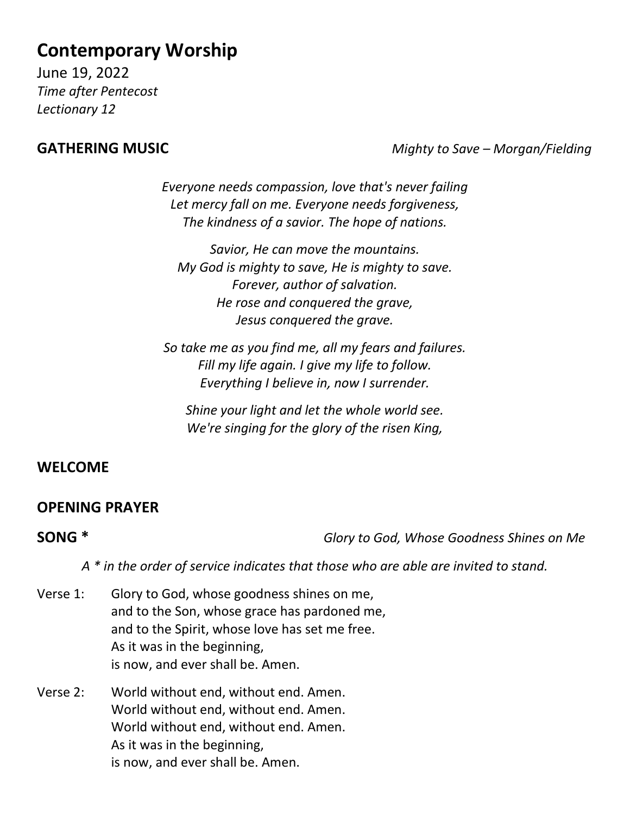# **Contemporary Worship**

June 19, 2022 *Time after Pentecost Lectionary 12*

**GATHERING MUSIC** *Mighty to Save – Morgan/Fielding*

*Everyone needs compassion, love that's never failing Let mercy fall on me. Everyone needs forgiveness, The kindness of a savior. The hope of nations.*

*Savior, He can move the mountains. My God is mighty to save, He is mighty to save. Forever, author of salvation. He rose and conquered the grave, Jesus conquered the grave.*

*So take me as you find me, all my fears and failures. Fill my life again. I give my life to follow. Everything I believe in, now I surrender.*

*Shine your light and let the whole world see. We're singing for the glory of the risen King,*

### **WELCOME**

### **OPENING PRAYER**

**SONG \*** *Glory to God, Whose Goodness Shines on Me*

*A \* in the order of service indicates that those who are able are invited to stand.*

- Verse 1: Glory to God, whose goodness shines on me, and to the Son, whose grace has pardoned me, and to the Spirit, whose love has set me free. As it was in the beginning, is now, and ever shall be. Amen.
- Verse 2: World without end, without end. Amen. World without end, without end. Amen. World without end, without end. Amen. As it was in the beginning, is now, and ever shall be. Amen.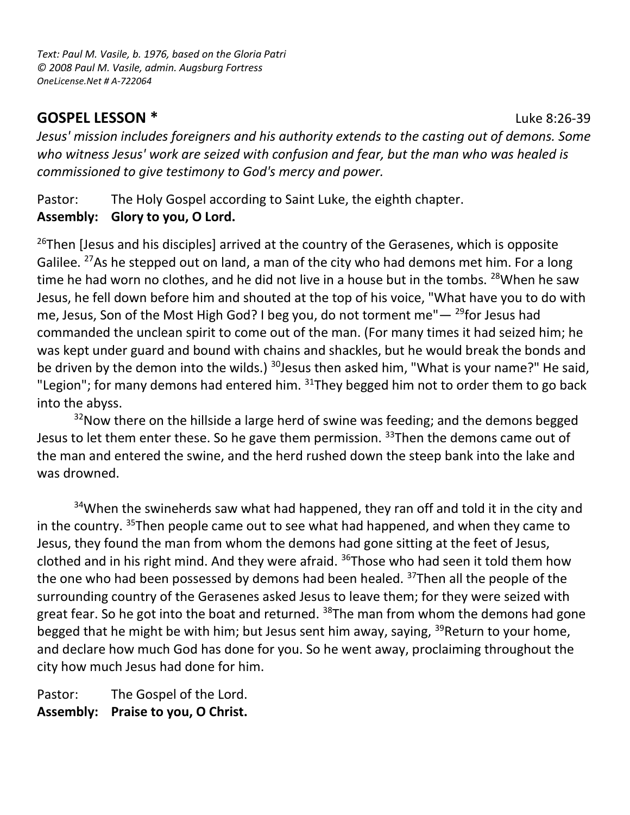*Text: Paul M. Vasile, b. 1976, based on the Gloria Patri © 2008 Paul M. Vasile, admin. Augsburg Fortress OneLicense.Net # A-722064*

### **GOSPEL LESSON \*** Luke 8:26-39

*Jesus' mission includes foreigners and his authority extends to the casting out of demons. Some who witness Jesus' work are seized with confusion and fear, but the man who was healed is commissioned to give testimony to God's mercy and power.*

Pastor: The Holy Gospel according to Saint Luke, the eighth chapter. **Assembly: Glory to you, O Lord.**

 $26$ Then [Jesus and his disciples] arrived at the country of the Gerasenes, which is opposite Galilee. <sup>27</sup>As he stepped out on land, a man of the city who had demons met him. For a long time he had worn no clothes, and he did not live in a house but in the tombs. <sup>28</sup>When he saw Jesus, he fell down before him and shouted at the top of his voice, "What have you to do with me, Jesus, Son of the Most High God? I beg you, do not torment me" $-$  <sup>29</sup>for Jesus had commanded the unclean spirit to come out of the man. (For many times it had seized him; he was kept under guard and bound with chains and shackles, but he would break the bonds and be driven by the demon into the wilds.)  $30$  Jesus then asked him, "What is your name?" He said, "Legion"; for many demons had entered him.  $31$ They begged him not to order them to go back into the abyss.

 $32$ Now there on the hillside a large herd of swine was feeding; and the demons begged Jesus to let them enter these. So he gave them permission. <sup>33</sup>Then the demons came out of the man and entered the swine, and the herd rushed down the steep bank into the lake and was drowned.

<sup>34</sup>When the swineherds saw what had happened, they ran off and told it in the city and in the country. <sup>35</sup>Then people came out to see what had happened, and when they came to Jesus, they found the man from whom the demons had gone sitting at the feet of Jesus, clothed and in his right mind. And they were afraid.  $36$ Those who had seen it told them how the one who had been possessed by demons had been healed. <sup>37</sup>Then all the people of the surrounding country of the Gerasenes asked Jesus to leave them; for they were seized with great fear. So he got into the boat and returned. <sup>38</sup>The man from whom the demons had gone begged that he might be with him; but Jesus sent him away, saying,  $39$ Return to your home, and declare how much God has done for you. So he went away, proclaiming throughout the city how much Jesus had done for him.

Pastor: The Gospel of the Lord. **Assembly: Praise to you, O Christ.**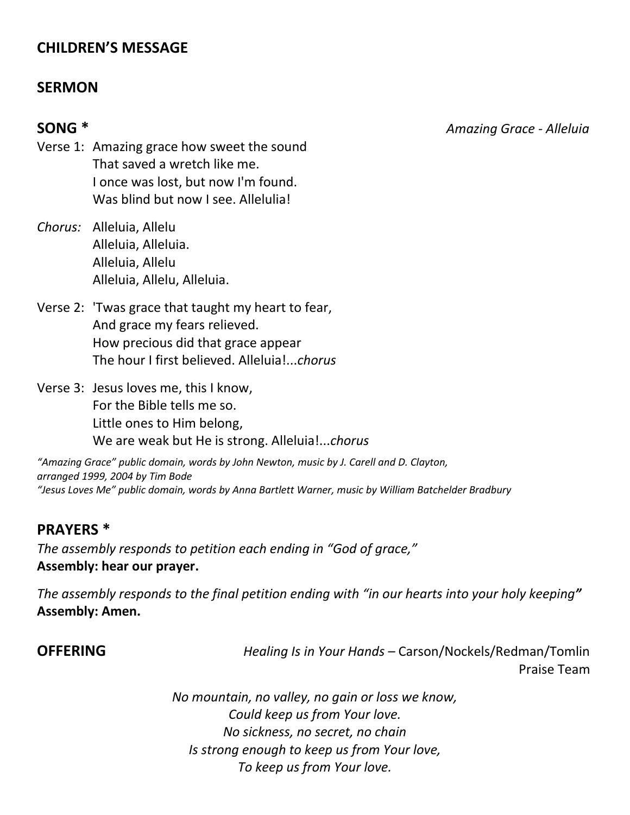### **CHILDREN'S MESSAGE**

#### **SERMON**

**SONG \*** *Amazing Grace - Alleluia*

Verse 1: Amazing grace how sweet the sound That saved a wretch like me. I once was lost, but now I'm found. Was blind but now I see. Allelulia!

- *Chorus:* Alleluia, Allelu Alleluia, Alleluia. Alleluia, Allelu Alleluia, Allelu, Alleluia.
- Verse 2: 'Twas grace that taught my heart to fear, And grace my fears relieved. How precious did that grace appear The hour I first believed. Alleluia!...*chorus*
- Verse 3: Jesus loves me, this I know, For the Bible tells me so. Little ones to Him belong, We are weak but He is strong. Alleluia!...*chorus*

*"Amazing Grace" public domain, words by John Newton, music by J. Carell and D. Clayton, arranged 1999, 2004 by Tim Bode "Jesus Loves Me" public domain, words by Anna Bartlett Warner, music by William Batchelder Bradbury*

### **PRAYERS \***

*The assembly responds to petition each ending in "God of grace,"* **Assembly: hear our prayer.**

*The assembly responds to the final petition ending with "in our hearts into your holy keeping"* **Assembly: Amen.**

**OFFERING** *Healing Is in Your Hands –* Carson/Nockels/Redman/Tomlin Praise Team

> *No mountain, no valley, no gain or loss we know, Could keep us from Your love. No sickness, no secret, no chain Is strong enough to keep us from Your love, To keep us from Your love.*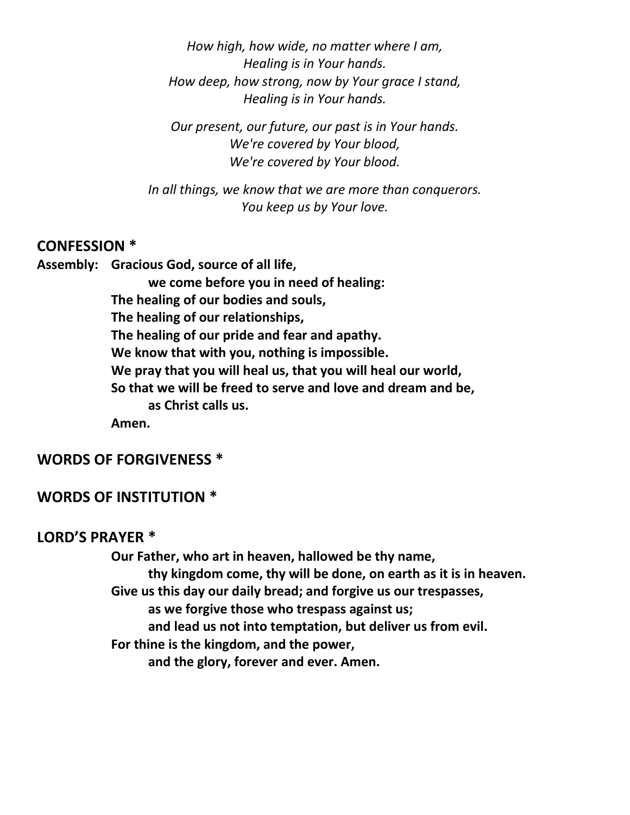*How high, how wide, no matter where I am, Healing is in Your hands. How deep, how strong, now by Your grace I stand, Healing is in Your hands.*

*Our present, our future, our past is in Your hands. We're covered by Your blood, We're covered by Your blood.*

*In all things, we know that we are more than conquerors. You keep us by Your love.*

#### **CONFESSION \***

**Assembly: Gracious God, source of all life, we come before you in need of healing: The healing of our bodies and souls, The healing of our relationships, The healing of our pride and fear and apathy. We know that with you, nothing is impossible. We pray that you will heal us, that you will heal our world, So that we will be freed to serve and love and dream and be, as Christ calls us. Amen.**

#### **WORDS OF FORGIVENESS \***

#### **WORDS OF INSTITUTION \***

#### **LORD'S PRAYER \***

**Our Father, who art in heaven, hallowed be thy name, thy kingdom come, thy will be done, on earth as it is in heaven. Give us this day our daily bread; and forgive us our trespasses, as we forgive those who trespass against us; and lead us not into temptation, but deliver us from evil. For thine is the kingdom, and the power, and the glory, forever and ever. Amen.**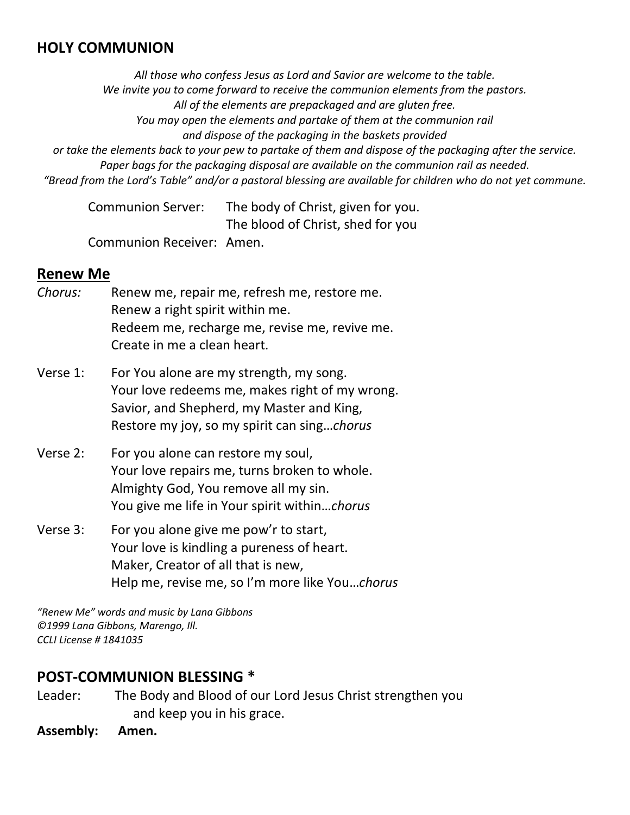#### **HOLY COMMUNION**

*All those who confess Jesus as Lord and Savior are welcome to the table. We invite you to come forward to receive the communion elements from the pastors. All of the elements are prepackaged and are gluten free. You may open the elements and partake of them at the communion rail and dispose of the packaging in the baskets provided or take the elements back to your pew to partake of them and dispose of the packaging after the service. Paper bags for the packaging disposal are available on the communion rail as needed. "Bread from the Lord's Table" and/or a pastoral blessing are available for children who do not yet commune.* 

Communion Server: The body of Christ, given for you. The blood of Christ, shed for you

Communion Receiver: Amen.

#### **Renew Me**

- *Chorus:* Renew me, repair me, refresh me, restore me. Renew a right spirit within me. Redeem me, recharge me, revise me, revive me. Create in me a clean heart.
- Verse 1: For You alone are my strength, my song. Your love redeems me, makes right of my wrong. Savior, and Shepherd, my Master and King, Restore my joy, so my spirit can sing…*chorus*
- Verse 2: For you alone can restore my soul, Your love repairs me, turns broken to whole. Almighty God, You remove all my sin. You give me life in Your spirit within…*chorus*
- Verse 3: For you alone give me pow'r to start, Your love is kindling a pureness of heart. Maker, Creator of all that is new, Help me, revise me, so I'm more like You…*chorus*

*"Renew Me" words and music by Lana Gibbons ©1999 Lana Gibbons, Marengo, Ill. CCLI License # 1841035*

#### **POST-COMMUNION BLESSING \***

Leader: The Body and Blood of our Lord Jesus Christ strengthen you and keep you in his grace.

**Assembly: Amen.**